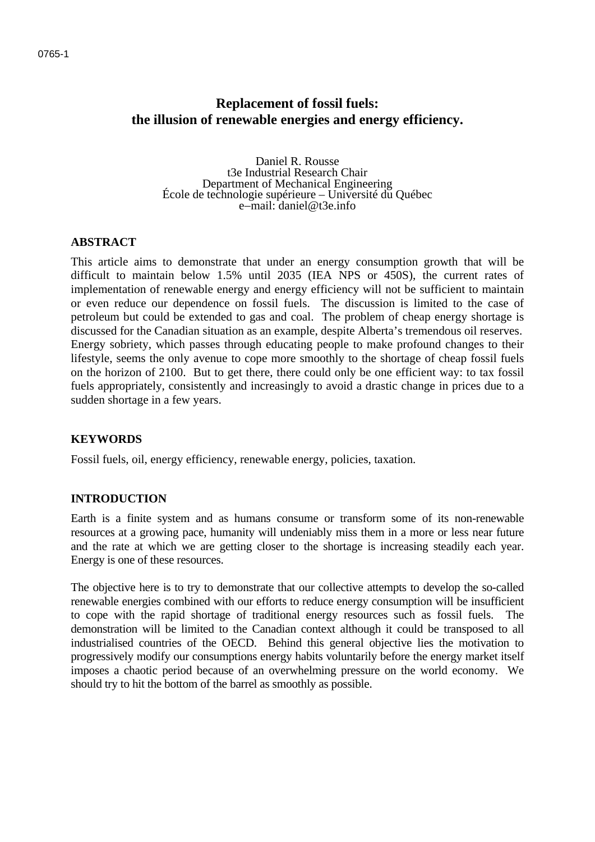# **Replacement of fossil fuels: the illusion of renewable energies and energy efficiency.**

Daniel R. Rousse t3e Industrial Research Chair<br>Department of Mechanical Engineering École de technologie supérieure – Université du Québec e−mail: daniel@t3e.info

### **ABSTRACT**

This article aims to demonstrate that under an energy consumption growth that will be difficult to maintain below 1.5% until 2035 (IEA NPS or 450S), the current rates of implementation of renewable energy and energy efficiency will not be sufficient to maintain or even reduce our dependence on fossil fuels. The discussion is limited to the case of petroleum but could be extended to gas and coal. The problem of cheap energy shortage is discussed for the Canadian situation as an example, despite Alberta's tremendous oil reserves. Energy sobriety, which passes through educating people to make profound changes to their lifestyle, seems the only avenue to cope more smoothly to the shortage of cheap fossil fuels on the horizon of 2100. But to get there, there could only be one efficient way: to tax fossil fuels appropriately, consistently and increasingly to avoid a drastic change in prices due to a sudden shortage in a few years.

#### **KEYWORDS**

Fossil fuels, oil, energy efficiency, renewable energy, policies, taxation.

#### **INTRODUCTION**

Earth is a finite system and as humans consume or transform some of its non-renewable resources at a growing pace, humanity will undeniably miss them in a more or less near future and the rate at which we are getting closer to the shortage is increasing steadily each year. Energy is one of these resources.

The objective here is to try to demonstrate that our collective attempts to develop the so-called renewable energies combined with our efforts to reduce energy consumption will be insufficient to cope with the rapid shortage of traditional energy resources such as fossil fuels. The demonstration will be limited to the Canadian context although it could be transposed to all industrialised countries of the OECD. Behind this general objective lies the motivation to progressively modify our consumptions energy habits voluntarily before the energy market itself imposes a chaotic period because of an overwhelming pressure on the world economy. We should try to hit the bottom of the barrel as smoothly as possible.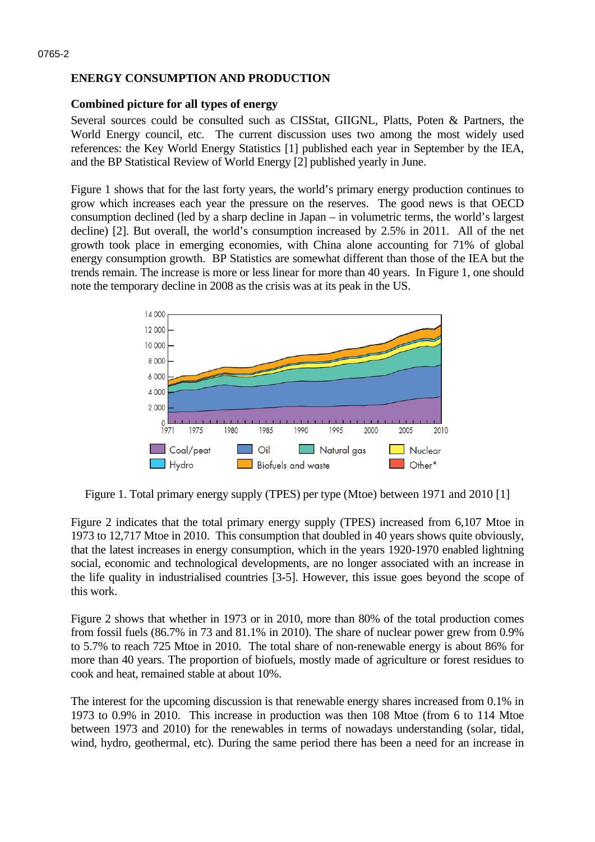# **ENERGY CONSUMPTION AND PRODUCTION**

### **Combined picture for all types of energy**

Several sources could be consulted such as CISStat, GIIGNL, Platts, Poten & Partners, the World Energy council, etc. The current discussion uses two among the most widely used references: the Key World Energy Statistics [1] published each year in September by the IEA, and the BP Statistical Review of World Energy [2] published yearly in June.

Figure 1 shows that for the last forty years, the world's primary energy production continues to grow which increases each year the pressure on the reserves. The good news is that OECD consumption declined (led by a sharp decline in Japan – in volumetric terms, the world's largest decline) [2]. But overall, the world's consumption increased by 2.5% in 2011. All of the net growth took place in emerging economies, with China alone accounting for 71% of global energy consumption growth. BP Statistics are somewhat different than those of the IEA but the trends remain. The increase is more or less linear for more than 40 years. In Figure 1, one should note the temporary decline in 2008 as the crisis was at its peak in the US.



Figure 1. Total primary energy supply (TPES) per type (Mtoe) between 1971 and 2010 [1]

Figure 2 indicates that the total primary energy supply (TPES) increased from 6,107 Mtoe in 1973 to 12,717 Mtoe in 2010. This consumption that doubled in 40 years shows quite obviously, that the latest increases in energy consumption, which in the years 1920-1970 enabled lightning social, economic and technological developments, are no longer associated with an increase in the life quality in industrialised countries [3-5]. However, this issue goes beyond the scope of this work.

Figure 2 shows that whether in 1973 or in 2010, more than 80% of the total production comes from fossil fuels (86.7% in 73 and 81.1% in 2010). The share of nuclear power grew from 0.9% to 5.7% to reach 725 Mtoe in 2010. The total share of non-renewable energy is about 86% for more than 40 years. The proportion of biofuels, mostly made of agriculture or forest residues to cook and heat, remained stable at about 10%.

The interest for the upcoming discussion is that renewable energy shares increased from 0.1% in 1973 to 0.9% in 2010. This increase in production was then 108 Mtoe (from 6 to 114 Mtoe between 1973 and 2010) for the renewables in terms of nowadays understanding (solar, tidal, wind, hydro, geothermal, etc). During the same period there has been a need for an increase in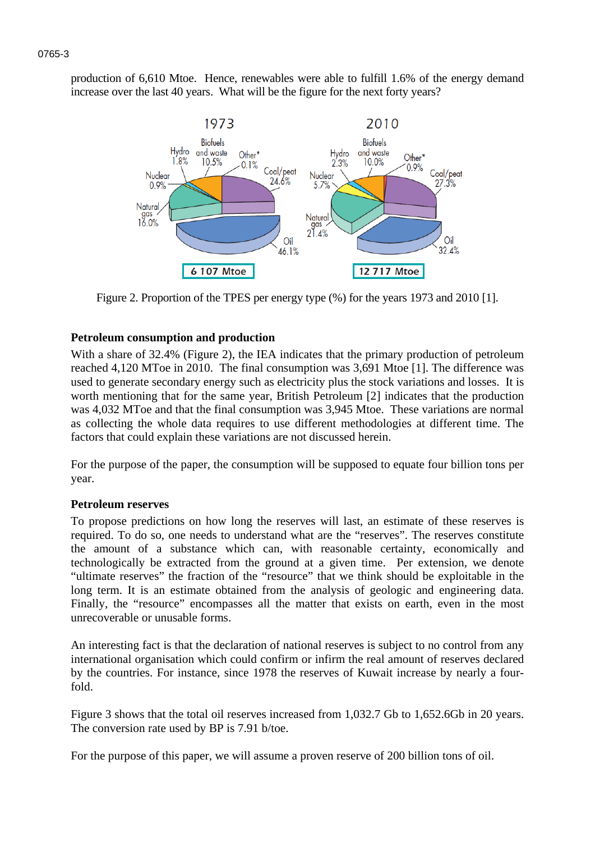production of 6,610 Mtoe. Hence, renewables were able to fulfill 1.6% of the energy demand increase over the last 40 years. What will be the figure for the next forty years?



Figure 2. Proportion of the TPES per energy type (%) for the years 1973 and 2010 [1].

## **Petroleum consumption and production**

With a share of 32.4% (Figure 2), the IEA indicates that the primary production of petroleum reached 4,120 MToe in 2010. The final consumption was 3,691 Mtoe [1]. The difference was used to generate secondary energy such as electricity plus the stock variations and losses. It is worth mentioning that for the same year, British Petroleum [2] indicates that the production was 4,032 MToe and that the final consumption was 3,945 Mtoe. These variations are normal as collecting the whole data requires to use different methodologies at different time. The factors that could explain these variations are not discussed herein.

For the purpose of the paper, the consumption will be supposed to equate four billion tons per year.

## **Petroleum reserves**

To propose predictions on how long the reserves will last, an estimate of these reserves is required. To do so, one needs to understand what are the "reserves". The reserves constitute the amount of a substance which can, with reasonable certainty, economically and technologically be extracted from the ground at a given time. Per extension, we denote "ultimate reserves" the fraction of the "resource" that we think should be exploitable in the long term. It is an estimate obtained from the analysis of geologic and engineering data. Finally, the "resource" encompasses all the matter that exists on earth, even in the most unrecoverable or unusable forms.

An interesting fact is that the declaration of national reserves is subject to no control from any international organisation which could confirm or infirm the real amount of reserves declared by the countries. For instance, since 1978 the reserves of Kuwait increase by nearly a fourfold.

Figure 3 shows that the total oil reserves increased from 1,032.7 Gb to 1,652.6Gb in 20 years. The conversion rate used by BP is 7.91 b/toe.

For the purpose of this paper, we will assume a proven reserve of 200 billion tons of oil.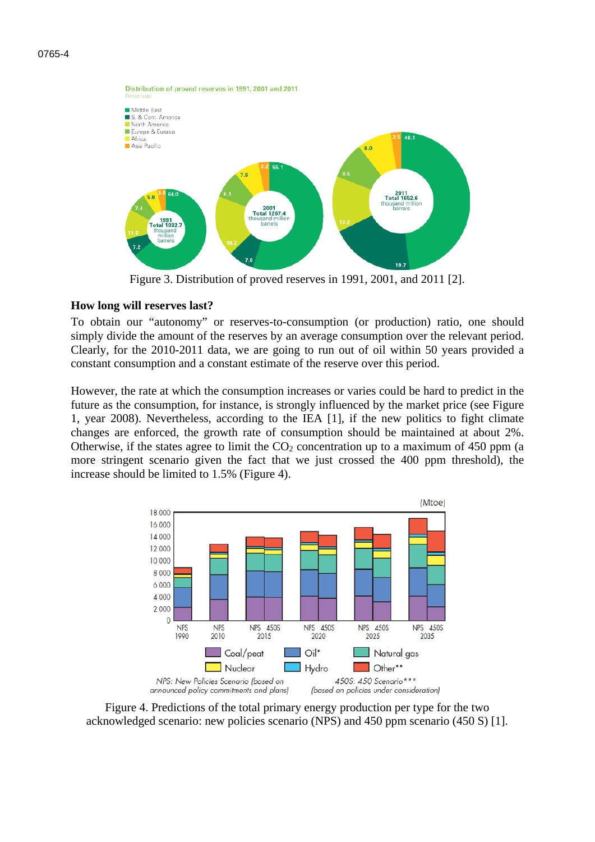

Figure 3. Distribution of proved reserves in 1991, 2001, and 2011 [2].

#### **How long will reserves last?**

To obtain our "autonomy" or reserves-to-consumption (or production) ratio, one should simply divide the amount of the reserves by an average consumption over the relevant period. Clearly, for the 2010-2011 data, we are going to run out of oil within 50 years provided a constant consumption and a constant estimate of the reserve over this period.

However, the rate at which the consumption increases or varies could be hard to predict in the future as the consumption, for instance, is strongly influenced by the market price (see Figure 1, year 2008). Nevertheless, according to the IEA [1], if the new politics to fight climate changes are enforced, the growth rate of consumption should be maintained at about 2%. Otherwise, if the states agree to limit the  $CO<sub>2</sub>$  concentration up to a maximum of 450 ppm (a more stringent scenario given the fact that we just crossed the 400 ppm threshold), the increase should be limited to 1.5% (Figure 4).



Figure 4. Predictions of the total primary energy production per type for the two acknowledged scenario: new policies scenario (NPS) and 450 ppm scenario (450 S) [1].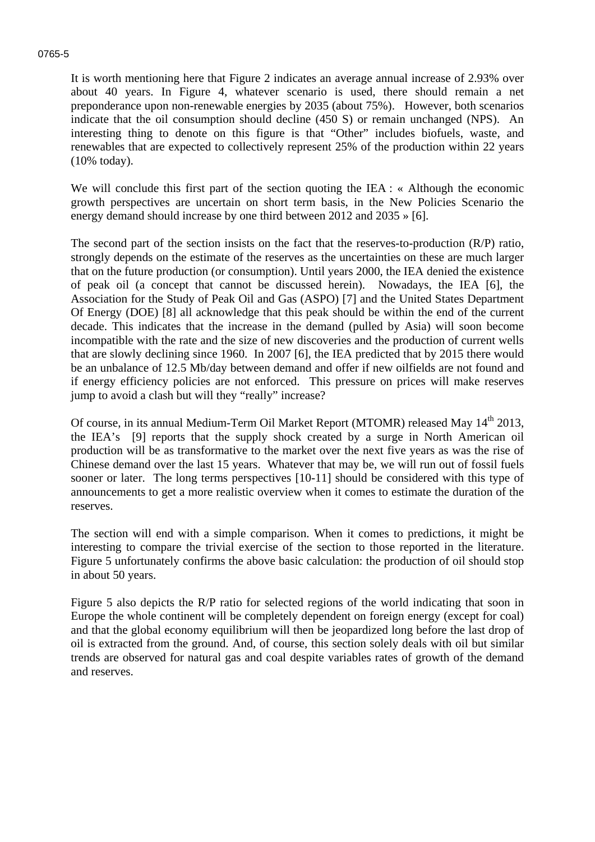#### 0765-5

It is worth mentioning here that Figure 2 indicates an average annual increase of 2.93% over about 40 years. In Figure 4, whatever scenario is used, there should remain a net preponderance upon non-renewable energies by 2035 (about 75%). However, both scenarios indicate that the oil consumption should decline (450 S) or remain unchanged (NPS). An interesting thing to denote on this figure is that "Other" includes biofuels, waste, and renewables that are expected to collectively represent 25% of the production within 22 years (10% today).

We will conclude this first part of the section quoting the IEA : « Although the economic growth perspectives are uncertain on short term basis, in the New Policies Scenario the energy demand should increase by one third between 2012 and 2035 » [6].

The second part of the section insists on the fact that the reserves-to-production (R/P) ratio, strongly depends on the estimate of the reserves as the uncertainties on these are much larger that on the future production (or consumption). Until years 2000, the IEA denied the existence of peak oil (a concept that cannot be discussed herein). Nowadays, the IEA [6], the Association for the Study of Peak Oil and Gas (ASPO) [7] and the United States Department Of Energy (DOE) [8] all acknowledge that this peak should be within the end of the current decade. This indicates that the increase in the demand (pulled by Asia) will soon become incompatible with the rate and the size of new discoveries and the production of current wells that are slowly declining since 1960. In 2007 [6], the IEA predicted that by 2015 there would be an unbalance of 12.5 Mb/day between demand and offer if new oilfields are not found and if energy efficiency policies are not enforced. This pressure on prices will make reserves jump to avoid a clash but will they "really" increase?

Of course, in its annual Medium-Term Oil Market Report (MTOMR) released May 14<sup>th</sup> 2013, the IEA's [9] reports that the supply shock created by a surge in North American oil production will be as transformative to the market over the next five years as was the rise of Chinese demand over the last 15 years. Whatever that may be, we will run out of fossil fuels sooner or later. The long terms perspectives [10-11] should be considered with this type of announcements to get a more realistic overview when it comes to estimate the duration of the reserves.

The section will end with a simple comparison. When it comes to predictions, it might be interesting to compare the trivial exercise of the section to those reported in the literature. Figure 5 unfortunately confirms the above basic calculation: the production of oil should stop in about 50 years.

Figure 5 also depicts the R/P ratio for selected regions of the world indicating that soon in Europe the whole continent will be completely dependent on foreign energy (except for coal) and that the global economy equilibrium will then be jeopardized long before the last drop of oil is extracted from the ground. And, of course, this section solely deals with oil but similar trends are observed for natural gas and coal despite variables rates of growth of the demand and reserves.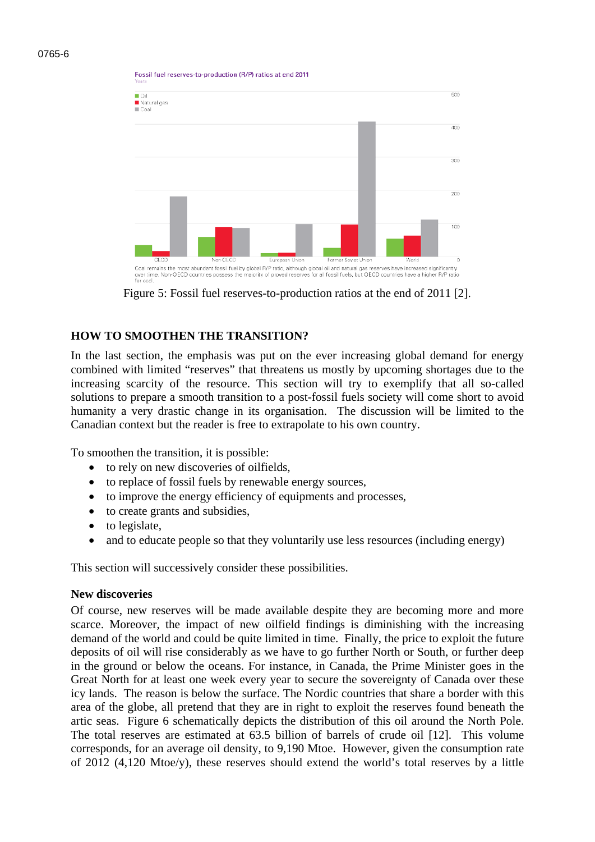Eossil fuel reserves-to-production (R/P) ratios at end 2011



Figure 5: Fossil fuel reserves-to-production ratios at the end of 2011 [2].

#### **HOW TO SMOOTHEN THE TRANSITION?**

In the last section, the emphasis was put on the ever increasing global demand for energy combined with limited "reserves" that threatens us mostly by upcoming shortages due to the increasing scarcity of the resource. This section will try to exemplify that all so-called solutions to prepare a smooth transition to a post-fossil fuels society will come short to avoid humanity a very drastic change in its organisation. The discussion will be limited to the Canadian context but the reader is free to extrapolate to his own country.

To smoothen the transition, it is possible:

- to rely on new discoveries of oilfields.
- to replace of fossil fuels by renewable energy sources,
- to improve the energy efficiency of equipments and processes,
- to create grants and subsidies,
- to legislate,
- and to educate people so that they voluntarily use less resources (including energy)

This section will successively consider these possibilities.

#### **New discoveries**

Of course, new reserves will be made available despite they are becoming more and more scarce. Moreover, the impact of new oilfield findings is diminishing with the increasing demand of the world and could be quite limited in time. Finally, the price to exploit the future deposits of oil will rise considerably as we have to go further North or South, or further deep in the ground or below the oceans. For instance, in Canada, the Prime Minister goes in the Great North for at least one week every year to secure the sovereignty of Canada over these icy lands. The reason is below the surface. The Nordic countries that share a border with this area of the globe, all pretend that they are in right to exploit the reserves found beneath the artic seas. Figure 6 schematically depicts the distribution of this oil around the North Pole. The total reserves are estimated at 63.5 billion of barrels of crude oil [12]. This volume corresponds, for an average oil density, to 9,190 Mtoe. However, given the consumption rate of 2012 (4,120 Mtoe/y), these reserves should extend the world's total reserves by a little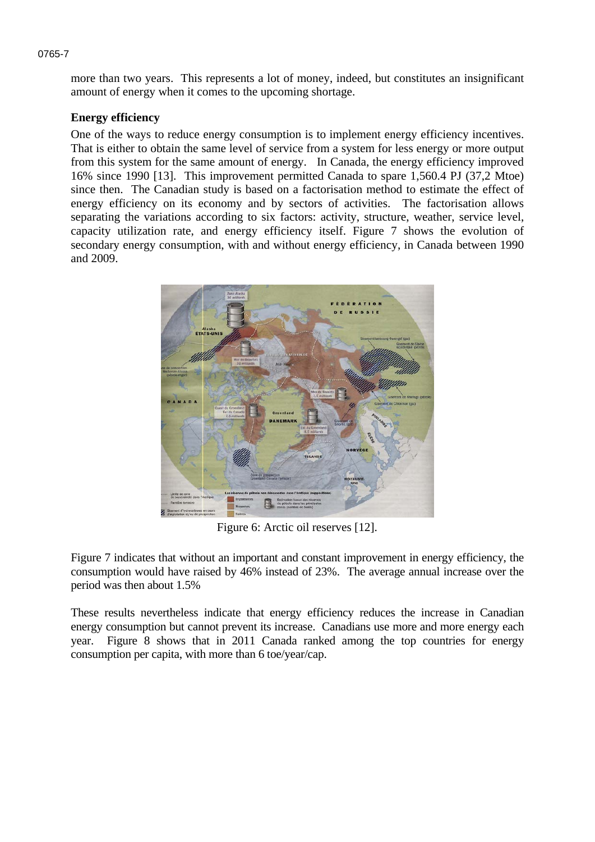more than two years. This represents a lot of money, indeed, but constitutes an insignificant amount of energy when it comes to the upcoming shortage.

## **Energy efficiency**

One of the ways to reduce energy consumption is to implement energy efficiency incentives. That is either to obtain the same level of service from a system for less energy or more output from this system for the same amount of energy. In Canada, the energy efficiency improved 16% since 1990 [13]. This improvement permitted Canada to spare 1,560.4 PJ (37,2 Mtoe) since then. The Canadian study is based on a factorisation method to estimate the effect of energy efficiency on its economy and by sectors of activities. The factorisation allows separating the variations according to six factors: activity, structure, weather, service level, capacity utilization rate, and energy efficiency itself. Figure 7 shows the evolution of secondary energy consumption, with and without energy efficiency, in Canada between 1990 and 2009.



Figure 6: Arctic oil reserves [12].

Figure 7 indicates that without an important and constant improvement in energy efficiency, the consumption would have raised by 46% instead of 23%. The average annual increase over the period was then about 1.5%

These results nevertheless indicate that energy efficiency reduces the increase in Canadian energy consumption but cannot prevent its increase. Canadians use more and more energy each year. Figure 8 shows that in 2011 Canada ranked among the top countries for energy consumption per capita, with more than 6 toe/year/cap.

#### 0765-7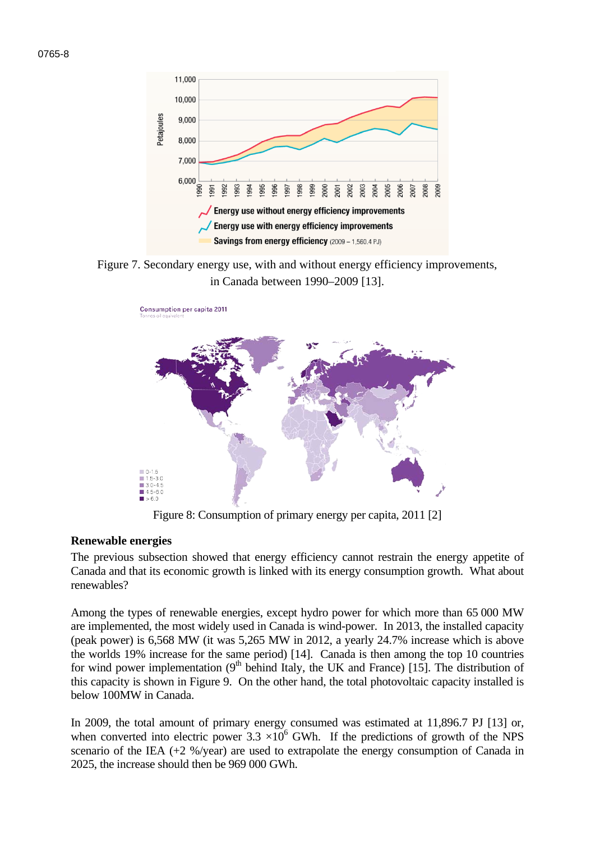



Figure 7. Secondary energy use, with and without energy efficiency improvements, in Canada between 1990–2009 [13].



Figure 8: Consumption of primary energy per capita, 2011 [2]

#### **Renewable energies**

The previous subsection showed that energy efficiency cannot restrain the energy appetite of Canada and that its economic growth is linked with its energy consumption growth. What about renewables?

Among the types of renewable energies, except hydro power for which more than 65 000 MW are implemented, the most widely used in Canada is wind-power. In 2013, the installed capacity (peak power) is 6,568 MW (it was 5,265 MW in 2012, a yearly 24.7% increase which is above the worlds 19% increase for the same period) [14]. Canada is then among the top 10 countries for wind power implementation  $(9<sup>th</sup>$  behind Italy, the UK and France) [15]. The distribution of this capacity is shown in Figure 9. On the other hand, the total photovoltaic capacity installed is below 100MW in Canada.

In 2009, the total amount of primary energy consumed was estimated at 11,896.7 PJ [13] or, when converted into electric power  $3.3 \times 10^6$  GWh. If the predictions of growth of the NPS scenario of the IEA  $(+2\% / \text{year})$  are used to extrapolate the energy consumption of Canada in 2025, the increase should then be 969 000 GWh.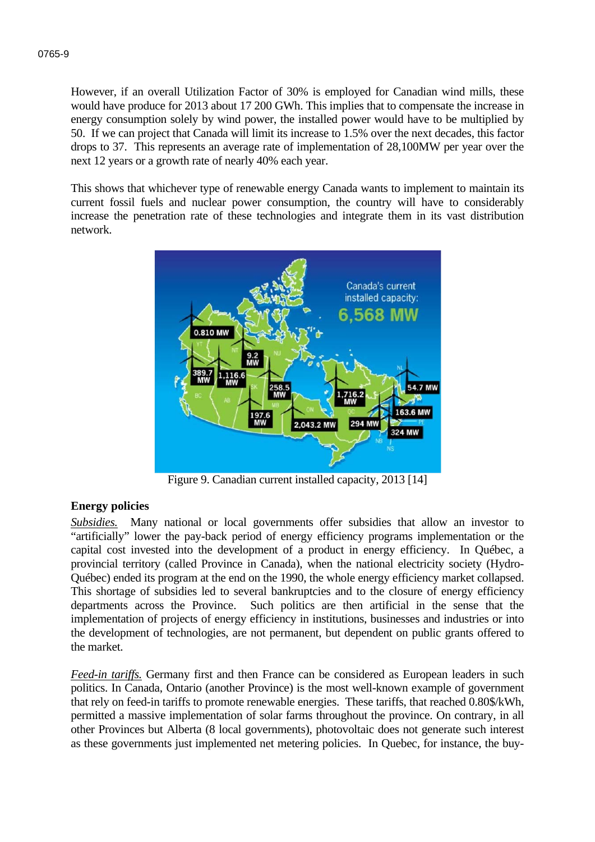However, if an overall Utilization Factor of 30% is employed for Canadian wind mills, these would have produce for 2013 about 17 200 GWh. This implies that to compensate the increase in energy consumption solely by wind power, the installed power would have to be multiplied by 50. If we can project that Canada will limit its increase to 1.5% over the next decades, this factor drops to 37. This represents an average rate of implementation of 28,100MW per year over the next 12 years or a growth rate of nearly 40% each year.

This shows that whichever type of renewable energy Canada wants to implement to maintain its current fossil fuels and nuclear power consumption, the country will have to considerably increase the penetration rate of these technologies and integrate them in its vast distribution network.



Figure 9. Canadian current installed capacity, 2013 [14]

#### **Energy policies**

*Subsidies.* Many national or local governments offer subsidies that allow an investor to "artificially" lower the pay-back period of energy efficiency programs implementation or the capital cost invested into the development of a product in energy efficiency. In Québec, a provincial territory (called Province in Canada), when the national electricity society (Hydro-Québec) ended its program at the end on the 1990, the whole energy efficiency market collapsed. This shortage of subsidies led to several bankruptcies and to the closure of energy efficiency departments across the Province. Such politics are then artificial in the sense that the implementation of projects of energy efficiency in institutions, businesses and industries or into the development of technologies, are not permanent, but dependent on public grants offered to the market.

*Feed-in tariffs.* Germany first and then France can be considered as European leaders in such politics. In Canada, Ontario (another Province) is the most well-known example of government that rely on feed-in tariffs to promote renewable energies. These tariffs, that reached 0.80\$/kWh, permitted a massive implementation of solar farms throughout the province. On contrary, in all other Provinces but Alberta (8 local governments), photovoltaic does not generate such interest as these governments just implemented net metering policies. In Quebec, for instance, the buy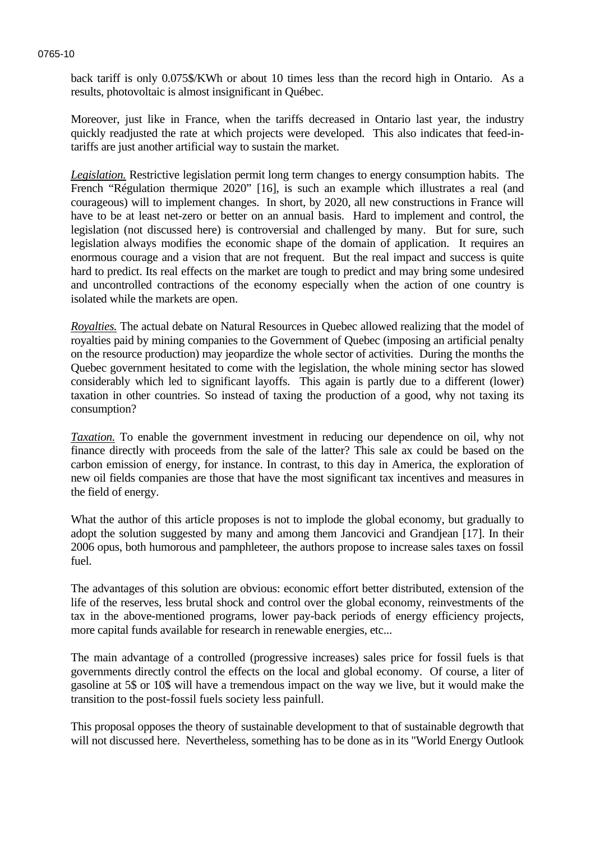back tariff is only 0.075\$/KWh or about 10 times less than the record high in Ontario. As a results, photovoltaic is almost insignificant in Québec.

Moreover, just like in France, when the tariffs decreased in Ontario last year, the industry quickly readjusted the rate at which projects were developed. This also indicates that feed-intariffs are just another artificial way to sustain the market.

*Legislation.* Restrictive legislation permit long term changes to energy consumption habits. The French "Régulation thermique 2020" [16], is such an example which illustrates a real (and courageous) will to implement changes. In short, by 2020, all new constructions in France will have to be at least net-zero or better on an annual basis. Hard to implement and control, the legislation (not discussed here) is controversial and challenged by many. But for sure, such legislation always modifies the economic shape of the domain of application. It requires an enormous courage and a vision that are not frequent. But the real impact and success is quite hard to predict. Its real effects on the market are tough to predict and may bring some undesired and uncontrolled contractions of the economy especially when the action of one country is isolated while the markets are open.

*Royalties.* The actual debate on Natural Resources in Quebec allowed realizing that the model of royalties paid by mining companies to the Government of Quebec (imposing an artificial penalty on the resource production) may jeopardize the whole sector of activities. During the months the Quebec government hesitated to come with the legislation, the whole mining sector has slowed considerably which led to significant layoffs. This again is partly due to a different (lower) taxation in other countries. So instead of taxing the production of a good, why not taxing its consumption?

*Taxation.* To enable the government investment in reducing our dependence on oil, why not finance directly with proceeds from the sale of the latter? This sale ax could be based on the carbon emission of energy, for instance. In contrast, to this day in America, the exploration of new oil fields companies are those that have the most significant tax incentives and measures in the field of energy.

What the author of this article proposes is not to implode the global economy, but gradually to adopt the solution suggested by many and among them Jancovici and Grandjean [17]. In their 2006 opus, both humorous and pamphleteer, the authors propose to increase sales taxes on fossil fuel.

The advantages of this solution are obvious: economic effort better distributed, extension of the life of the reserves, less brutal shock and control over the global economy, reinvestments of the tax in the above-mentioned programs, lower pay-back periods of energy efficiency projects, more capital funds available for research in renewable energies, etc...

The main advantage of a controlled (progressive increases) sales price for fossil fuels is that governments directly control the effects on the local and global economy. Of course, a liter of gasoline at 5\$ or 10\$ will have a tremendous impact on the way we live, but it would make the transition to the post-fossil fuels society less painfull.

This proposal opposes the theory of sustainable development to that of sustainable degrowth that will not discussed here. Nevertheless, something has to be done as in its "World Energy Outlook

#### 0765-10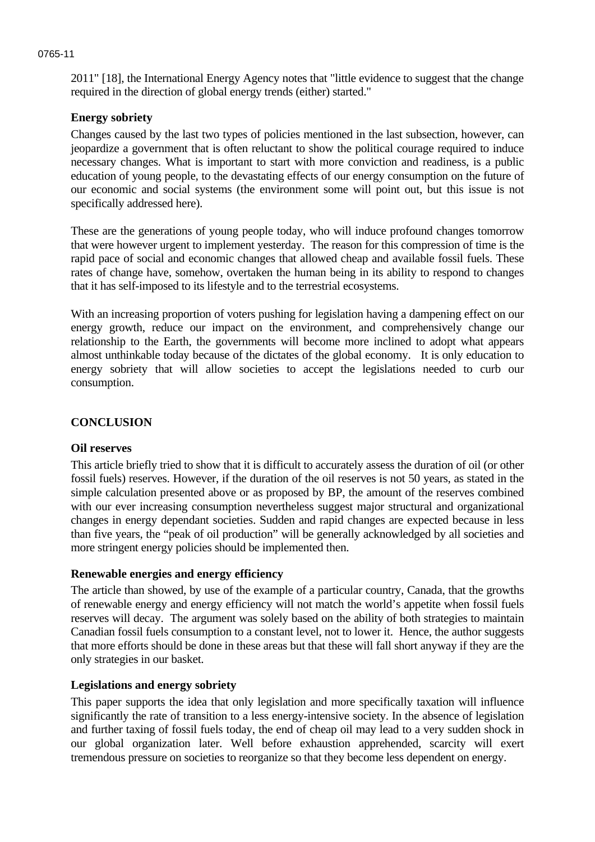# **Energy sobriety**

Changes caused by the last two types of policies mentioned in the last subsection, however, can jeopardize a government that is often reluctant to show the political courage required to induce necessary changes. What is important to start with more conviction and readiness, is a public education of young people, to the devastating effects of our energy consumption on the future of our economic and social systems (the environment some will point out, but this issue is not specifically addressed here).

2011" [18], the International Energy Agency notes that "little evidence to suggest that the change

required in the direction of global energy trends (either) started."

These are the generations of young people today, who will induce profound changes tomorrow that were however urgent to implement yesterday. The reason for this compression of time is the rapid pace of social and economic changes that allowed cheap and available fossil fuels. These rates of change have, somehow, overtaken the human being in its ability to respond to changes that it has self-imposed to its lifestyle and to the terrestrial ecosystems.

With an increasing proportion of voters pushing for legislation having a dampening effect on our energy growth, reduce our impact on the environment, and comprehensively change our relationship to the Earth, the governments will become more inclined to adopt what appears almost unthinkable today because of the dictates of the global economy. It is only education to energy sobriety that will allow societies to accept the legislations needed to curb our consumption.

### **CONCLUSION**

#### **Oil reserves**

This article briefly tried to show that it is difficult to accurately assess the duration of oil (or other fossil fuels) reserves. However, if the duration of the oil reserves is not 50 years, as stated in the simple calculation presented above or as proposed by BP, the amount of the reserves combined with our ever increasing consumption nevertheless suggest major structural and organizational changes in energy dependant societies. Sudden and rapid changes are expected because in less than five years, the "peak of oil production" will be generally acknowledged by all societies and more stringent energy policies should be implemented then.

#### **Renewable energies and energy efficiency**

The article than showed, by use of the example of a particular country, Canada, that the growths of renewable energy and energy efficiency will not match the world's appetite when fossil fuels reserves will decay. The argument was solely based on the ability of both strategies to maintain Canadian fossil fuels consumption to a constant level, not to lower it. Hence, the author suggests that more efforts should be done in these areas but that these will fall short anyway if they are the only strategies in our basket.

### **Legislations and energy sobriety**

This paper supports the idea that only legislation and more specifically taxation will influence significantly the rate of transition to a less energy-intensive society. In the absence of legislation and further taxing of fossil fuels today, the end of cheap oil may lead to a very sudden shock in our global organization later. Well before exhaustion apprehended, scarcity will exert tremendous pressure on societies to reorganize so that they become less dependent on energy.